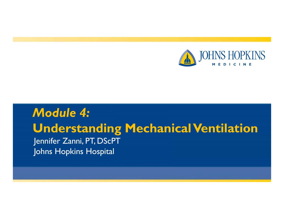

#### *Module 4:* **Understanding Mechanical Ventilation** Jennifer Zanni, PT, DScPT Johns Hopkins Hospital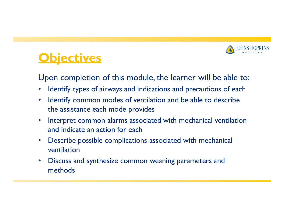

## **Objectives**

Upon completion of this module, the learner will be able to:

- $\bullet$ Identify types of airways and indications and precautions of each
- $\bullet$  Identify common modes of ventilation and be able to describe the assistance each mode provides
- $\bullet$  Interpret common alarms associated with mechanical ventilation and indicate an action for each
- $\bullet$  Describe possible complications associated with mechanical ventilation
- $\bullet$  Discuss and synthesize common weaning parameters and methods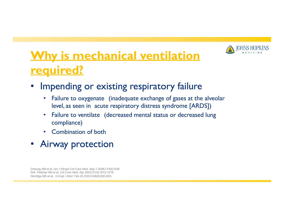

## **Why is mechanical ventilation required?**

- • Impending or existing respiratory failure
	- • Failure to oxygenate (inadequate exchange of gases at the alveolar level, as seen in acute respiratory distress syndrome [ARDS])
	- • Failure to ventilate (decreased mental status or decreased lung compliance)
	- •Combination of both
- Airway protection

Cheung AM et al. *Am J Respir Crit Care Med.* Sep 1 2006;174(5):538- 544. Fletcher SN et al. *Crit Care Med.* Apr 2003;31(4):1012-1016. Herridge MS et al. *N Engl J Med.* Feb 20 2003;348(8):683-693.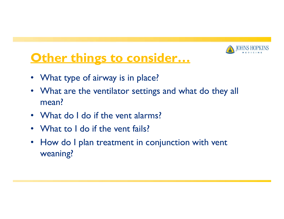

## **Other things to consider…**

- What type of airway is in place?
- $\bullet$  What are the ventilator settings and what do they all mean?
- What do I do if the vent alarms?
- What to I do if the vent fails?
- $\bullet$  How do I plan treatment in conjunction with vent weaning?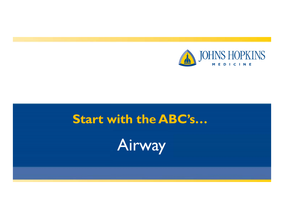

# **Start with the ABC's…** Airway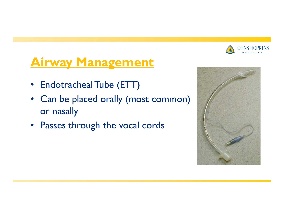

#### **Airway Management**

- Endotracheal Tube (ETT)
- Can be placed orally (most common) or nasally
- Passes through the vocal cords

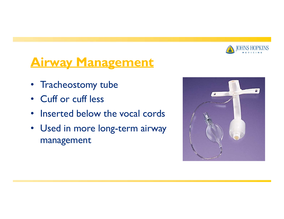

#### **Airway Management**

- Tracheostomy tube
- Cuff or cuff less
- $\bullet$ • Inserted below the vocal cords
- Used in more long-term airway management

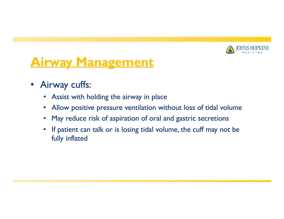

#### **Airway Management**

- Airway cuffs:
	- Assist with holding the airway in place
	- •Allow positive pressure ventilation without loss of tidal volume
	- May reduce risk of aspiration of oral and gastric secretions
	- $\bullet$  If patient can talk or is losing tidal volume, the cuff may not be fully inflated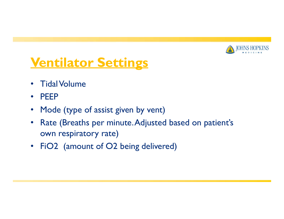

## **Ventilator Settings**

- $\bullet$ **Tidal Volume**
- $\bullet$ PEEP
- $\bullet$ Mode (type of assist given by vent)
- $\bullet$  Rate (Breaths per minute.Adjusted based on patient's own respiratory rate)
- FiO2 (amount of O2 being delivered)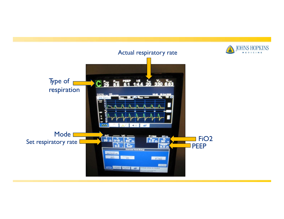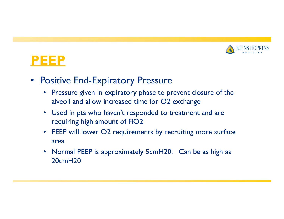



- Positive End-Expiratory Pressure
	- Pressure given in expiratory phase to prevent closure of the alveoli and allow increased time for O2 exchange
	- Used in pts who haven't responded to treatment and are requiring high amount of FiO2
	- PEEP will lower O2 requirements by recruiting more surface area
	- $\bullet$  Normal PEEP is approximately 5cmH20. Can be as high as 20cmH20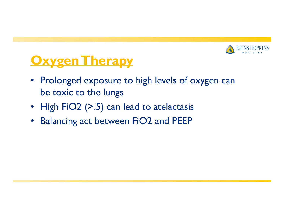

## **Oxygen Therapy**

- Prolonged exposure to high levels of oxygen can be toxic to the lungs
- High FiO2 (>.5) can lead to atelactasis
- $\bullet$ Balancing act between FiO2 and PEEP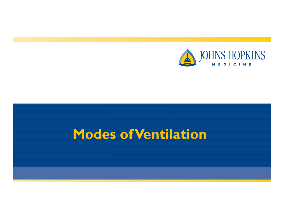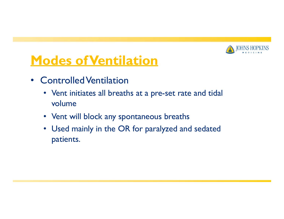

- Controlled Ventilation
	- Vent initiates all breaths at <sup>a</sup> pre-se<sup>t</sup> rate and tidal volume
	- Vent will block any spontaneous breaths
	- Used mainly in the OR for paralyzed and sedated patients.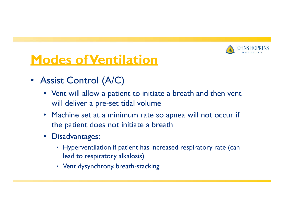

- Assist Control (A/C)
	- Vent will allow a patient to initiate a breath and then vent will deliver a pre-se<sup>t</sup> tidal volume
	- Machine set at a minimum rate so apnea will not occur if the patient does not initiate a breath
	- Disadvantages:
		- Hyperventilation if patient has increased respiratory rate (can lead to respiratory alkalosis)
		- Vent dysynchrony, breath-stacking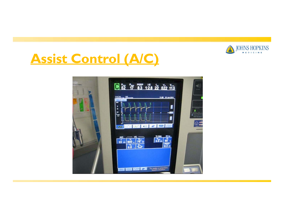

## **Assist Control (A/C)**

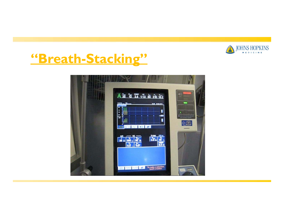

### **"Breath-Stacking"**

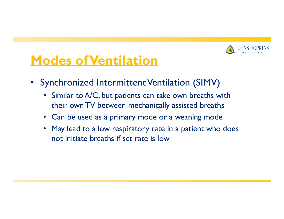

- Synchronized Intermittent Ventilation (SIMV)
	- • Similar to A/C, but patients can take own breaths with their own TV between mechanically assisted breaths
	- Can be used as a primary mode or a weaning mode
	- May lead to a low respiratory rate in a patient who does not initiate breaths if set rate is low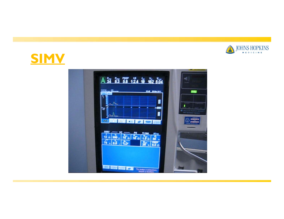



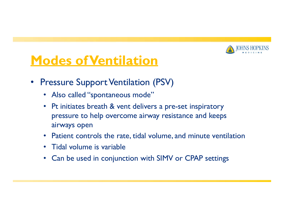

- $\bullet$  Pressure Support Ventilation (PSV)
	- Also called "spontaneous mode"
	- Pt initiates breath & vent delivers a pre-se<sup>t</sup> inspiratory pressure to help overcome airway resistance and keeps airways open
	- Patient controls the rate, tidal volume, and minute ventilation
	- $\bullet$ Tidal volume is variable
	- $\bullet$ Can be used in conjunction with SIMV or CPAP settings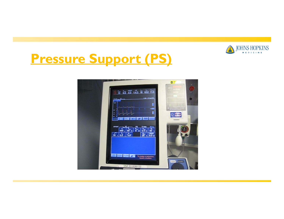

## **Pressure Support (PS)**

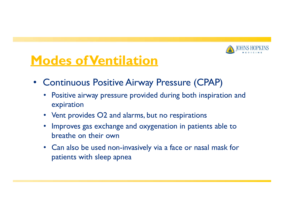

- Continuous Positive Airway Pressure (CPAP)
	- Positive airway pressure provided during both inspiration and expiration
	- Vent provides O2 and alarms, but no respirations
	- $\bullet$  Improves gas exchange and oxygenation in patients able to breathe on their own
	- Can also be used non-invasively via <sup>a</sup> face or nasal mask for patients with sleep apnea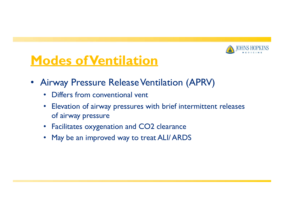

- $\bullet$ Airway Pressure Release Ventilation (APRV)
	- Differs from conventional vent
	- Elevation of airway pressures with brief intermittent releases of airway pressure
	- Facilitates oxygenation and CO2 clearance
	- May be an improved way to treat ALI/ ARDS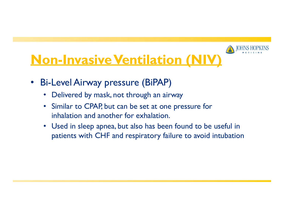# **Non-Invasive Ventilation (NIV)**

- • Bi-Level Airway pressure (BiPAP)
	- $\bullet$ Delivered by mask, not through an airway
	- • Similar to CPAP, but can be set at one pressure for inhalation and another for exhalation.
	- Used in sleep apnea, but also has been found to be useful in patients with CHF and respiratory failure to avoid intubation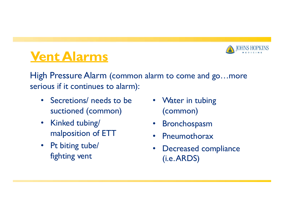

## **Vent Alarms**

High Pressure Alarm (common alarm to come and go…more serious if it continues to alarm):

- Secretions/ needs to be suctioned (common)
- $\bullet$  Kinked tubing/ malposition of ETT
- Pt biting tube/ fighting vent
- Water in tubing (common)
- •Bronchospasm
- •Pneumothorax
- $\bullet$  Decreased compliance (i.e.ARDS)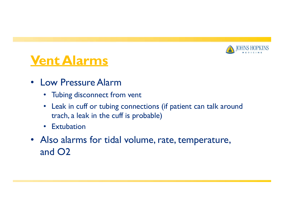

## **Vent Alarms**

- Low Pressure Alarm
	- Tubing disconnect from vent
	- Leak in cuff or tubing connections (if patient can talk around trach, <sup>a</sup> leak in the cuff is probable)
	- $\bullet$ **Extubation**
- Also alarms for tidal volume, rate, temperature, and O2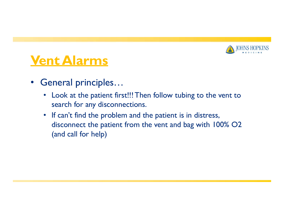

## **Vent Alarms**

- $\bullet$  General principles…
	- Look at the patient first!!! Then follow tubing to the vent to search for any disconnections.
	- If can't find the problem and the patient is in distress, disconnect the patient from the vent and bag with 100% O2 (and call for help)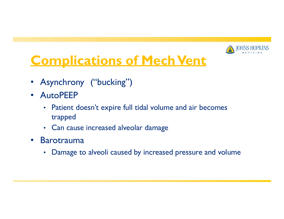

## **Complications of Mech Vent**

- •Asynchrony ("bucking")
- AutoPEEP
	- Patient doesn't expire full tidal volume and air becomes trapped
	- Can cause increased alveolar damage
- $\bullet$  Barotrauma
	- •Damage to alveoli caused by increased pressure and volume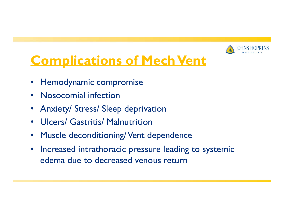

## **Complications of Mech Vent**

- $\bullet$ Hemodynamic compromise
- •Nosocomial infection
- •Anxiety/ Stress/ Sleep deprivation
- $\bullet$ Ulcers/ Gastritis/ Malnutrition
- $\bullet$ Muscle deconditioning/Vent dependence
- $\bullet$  Increased intrathoracic pressure leading to systemic edema due to decreased venous return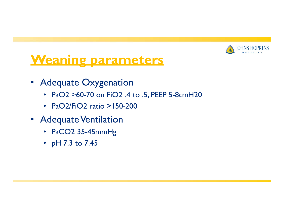

## **Weaning parameters**

- Adequate Oxygenation
	- PaO2 >60-70 on FiO2 .4 to .5, PEEP 5-8cmH20
	- PaO2/FiO2 ratio >150-200
- Adequate Ventilation
	- PaCO2 35-45mmHg
	- pH 7.3 to 7.45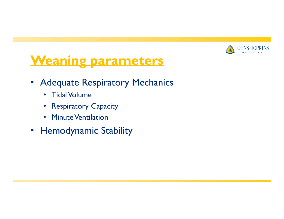

## **Weaning parameters**

- Adequate Respiratory Mechanics
	- $\bullet$ • Tidal Volume
	- Respiratory Capacity
	- Minute Ventilation
- Hemodynamic Stability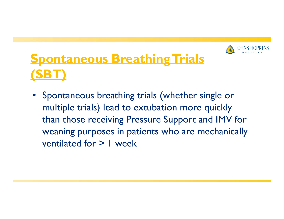

# **Spontaneous BreathingTrials (SBT)**

• Spontaneous breathing trials (whether single or multiple trials) lead to extubation more quickly than those receiving Pressure Support and IMV for weaning purposes in patients who are mechanically ventilated for > 1 week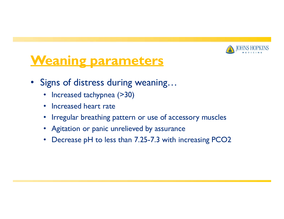

## **Weaning parameters**

- Signs of distress during weaning…
	- •Increased tachypnea (>30)
	- Increased heart rate
	- Irregular breathing pattern or use of accessory muscles
	- Agitation or panic unrelieved by assurance
	- $\bullet$ Decrease pH to less than 7.25-7.3 with increasing PCO2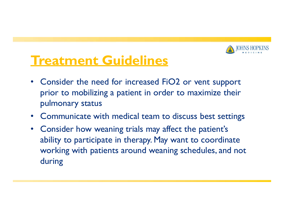

## **Treatment Guidelines**

- $\bullet$  Consider the need for increased FiO2 or vent suppor<sup>t</sup> prior to mobilizing <sup>a</sup> patient in order to maximize their pulmonary status
- •Communicate with medical team to discuss best settings
- $\bullet$  Consider how weaning trials may affect the patient's ability to participate in therapy. May want to coordinate working with patients around weaning schedules, and not during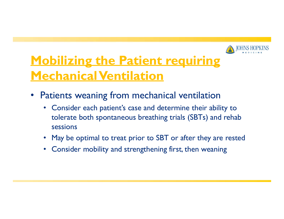

## **Mobilizing the Patient requiring MechanicalVentilation**

- $\bullet$  Patients weaning from mechanical ventilation
	- $\bullet$  Consider each patient's case and determine their ability to tolerate both spontaneous breathing trials (SBTs) and rehab sessions
	- May be optimal to treat prior to SBT or after they are rested
	- •Consider mobility and strengthening first, then weaning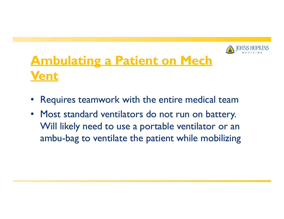

# **Ambulating <sup>a</sup> Patient on Mech Vent**

- •Requires teamwork with the entire medical team
- $\bullet$  Most standard ventilators do not run on battery. Will likely need to use a portable ventilator or an ambu-bag to ventilate the patient while mobilizing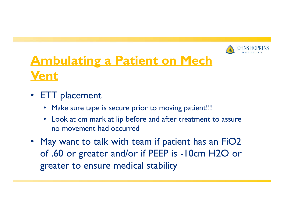

## **Ambulating <sup>a</sup> Patient on Mech Vent**

- ETT placement
	- $\bullet$ Make sure tape is secure prior to moving patient!!!
	- Look at cm mark at lip before and after treatment to assure no movement had occurred
- May want to talk with team if patient has an FiO2 of .60 or greater and/or if PEEP is -10cm H2O or greater to ensure medical stability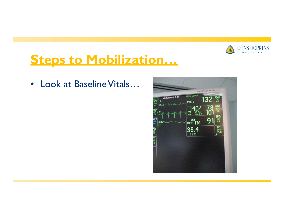

•Look at Baseline Vitals...

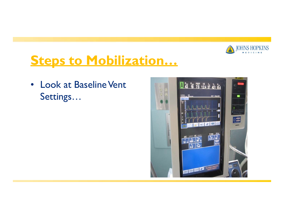

•Look at Baseline Vent Settings…

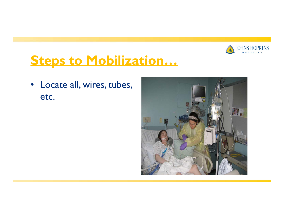

 $\bullet$  Locate all, wires, tubes, etc.

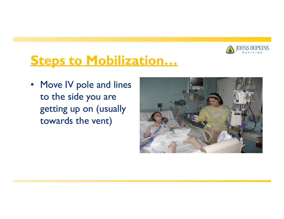

• Move IV pole and lines to the side you are getting up on (usually towards the vent)

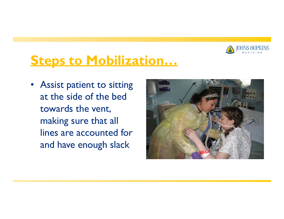

• Assist patient to sitting at the side of the bedtowards the vent, making sure that all lines are accounted forand have enough slack

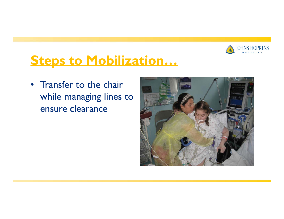

• Transfer to the chairwhile managing lines to ensure clearance

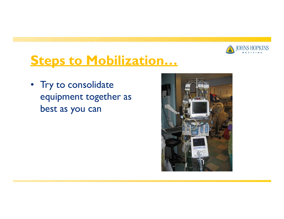

• Try to consolidate equipment together as best as you can

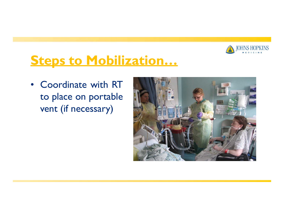

• Coordinate with RTto place on portable vent (if necessary)

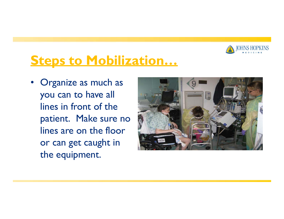

• Organize as much as you can to have all lines in front of the patient. Make sure no lines are on the flooror can get caught in the equipment.

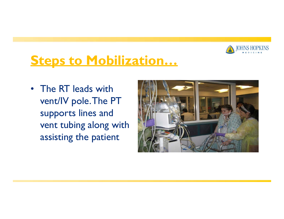

• The RT leads with vent/IV pole.The PT supports lines and vent tubing along with assisting the patient

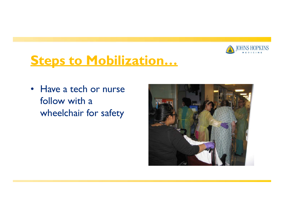

• Have a tech or nurse follow with <sup>a</sup> wheelchair for safety

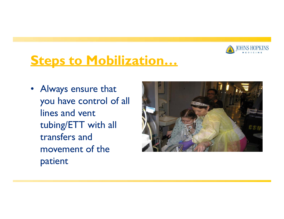

• Always ensure that you have control of all lines and vent tubing/ETT with all transfers and movement of the patient

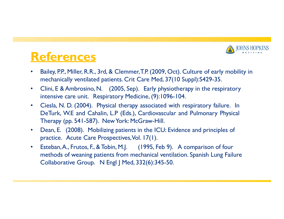

#### **References**

- • Bailey, P.P., Miller, R.R., 3rd, & Clemmer,T.P. (2009, Oct). Culture of early mobility in mechanically ventilated patients. Crit Care Med, 37(10 Suppl):S429-35.
- $\bullet$  Clini, E & Ambrosino, N. (2005, Sep). Early physiotherapy in the respiratory intensive care unit. Respiratory Medicine, (9):1096-104.
- • Ciesla, N. D. (2004). Physical therapy associated with respiratory failure. In DeTurk, W.E and Cahalin, L.P (Eds.), Cardiovascular and Pulmonary Physical Therapy (pp. 541-587). NewYork: McGraw-Hill.
- $\bullet$  Dean, E. (2008). Mobilizing patients in the ICU: Evidence and principles of practice. Acute Care Prospectives, Vol. 17(1).
- $\bullet$  Esteban,A., Frutos, F., & Tobin, M.J. (1995, Feb 9). A comparison of four methods of weaning patients from mechanical ventilation. Spanish Lung Failure Collaborative Group. N Engl J Med, 332(6):345-50.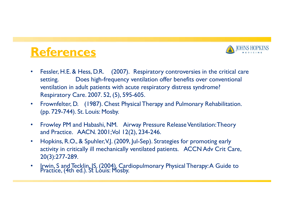### **References**



- $\bullet$  Fessler, H.E. & Hess, D.R. (2007). Respiratory controversies in the critical care setting. Does high-frequency ventilation offer benefits over conventional ventilation in adult patients with acute respiratory distress syndrome? Respiratory Care. 2007. 52, (5), 595-605.
- $\bullet$  Frownfelter, D. (1987). Chest Physical Therapy and Pulmonary Rehabilitation. (pp. 729-744). St. Louis: Mosby.
- $\bullet$  Frowley PM and Habashi, NM. Airway Pressure Release Ventilation:Theory and Practice. AACN. 2001;Vol 12(2), 234-246.
- $\bullet$  Hopkins, R.O., & Spuhler,V.J. (2009, Jul-Sep). Strategies for promoting early activity in critically ill mechanically ventilated patients. ACCN Adv Crit Care, 20(3):277-289.
- Practice, (4th ed.). St Lòuis: Mosby. •• Irwin, S and Tecklin, JS. (2004). Cardiopulmonary Physical Therapy: A Guide to